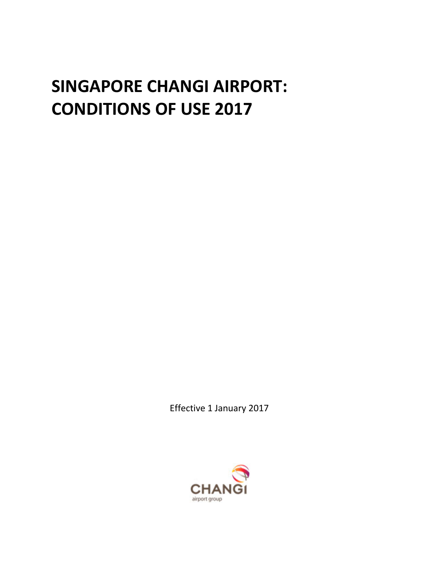# **SINGAPORE CHANGI AIRPORT: CONDITIONS OF USE 2017**

Effective 1 January 2017

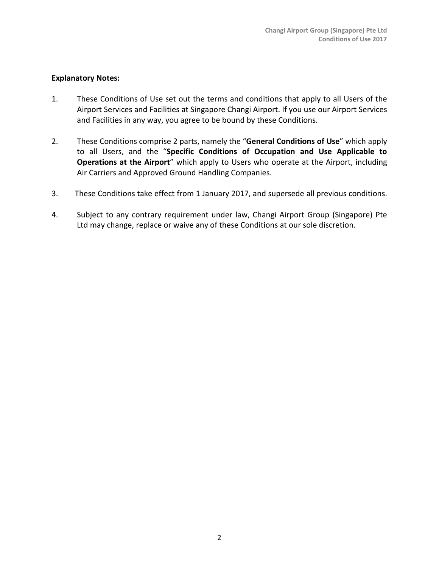# **Explanatory Notes:**

- 1. These Conditions of Use set out the terms and conditions that apply to all Users of the Airport Services and Facilities at Singapore Changi Airport. If you use our Airport Services and Facilities in any way, you agree to be bound by these Conditions.
- 2. These Conditions comprise 2 parts, namely the "**General Conditions of Use**" which apply to all Users, and the "**Specific Conditions of Occupation and Use Applicable to Operations at the Airport**" which apply to Users who operate at the Airport, including Air Carriers and Approved Ground Handling Companies.
- 3. These Conditions take effect from 1 January 2017, and supersede all previous conditions.
- 4. Subject to any contrary requirement under law, Changi Airport Group (Singapore) Pte Ltd may change, replace or waive any of these Conditions at our sole discretion.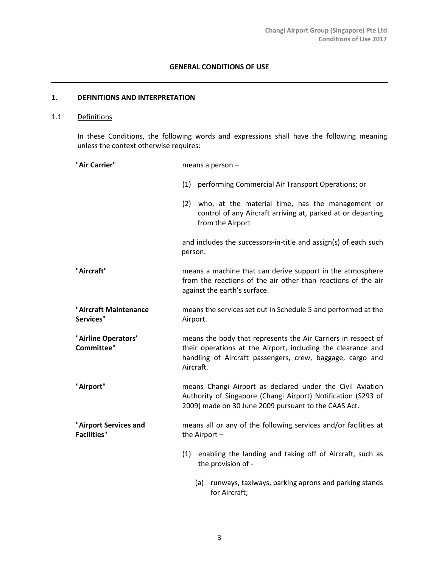# **GENERAL CONDITIONS OF USE**

#### **1. DEFINITIONS AND INTERPRETATION**

# 1.1 Definitions

In these Conditions, the following words and expressions shall have the following meaning unless the context otherwise requires:

| "Air Carrier"                               | means a person $-$                                                                                                                                                                                      |
|---------------------------------------------|---------------------------------------------------------------------------------------------------------------------------------------------------------------------------------------------------------|
|                                             | (1) performing Commercial Air Transport Operations; or                                                                                                                                                  |
|                                             | (2) who, at the material time, has the management or<br>control of any Aircraft arriving at, parked at or departing<br>from the Airport                                                                 |
|                                             | and includes the successors-in-title and assign(s) of each such<br>person.                                                                                                                              |
| "Aircraft"                                  | means a machine that can derive support in the atmosphere<br>from the reactions of the air other than reactions of the air<br>against the earth's surface.                                              |
| "Aircraft Maintenance<br>Services"          | means the services set out in Schedule 5 and performed at the<br>Airport.                                                                                                                               |
| "Airline Operators'<br>Committee"           | means the body that represents the Air Carriers in respect of<br>their operations at the Airport, including the clearance and<br>handling of Aircraft passengers, crew, baggage, cargo and<br>Aircraft. |
| "Airport"                                   | means Changi Airport as declared under the Civil Aviation<br>Authority of Singapore (Changi Airport) Notification (S293 of<br>2009) made on 30 June 2009 pursuant to the CAAS Act.                      |
| "Airport Services and<br><b>Facilities"</b> | means all or any of the following services and/or facilities at<br>the Airport $-$                                                                                                                      |
|                                             | enabling the landing and taking off of Aircraft, such as<br>(1)<br>the provision of -                                                                                                                   |
|                                             | runways, taxiways, parking aprons and parking stands<br>(a)<br>for Aircraft;                                                                                                                            |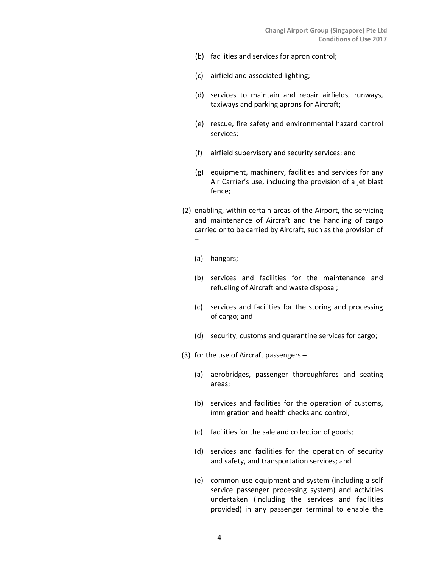- (b) facilities and services for apron control;
- (c) airfield and associated lighting;
- (d) services to maintain and repair airfields, runways, taxiways and parking aprons for Aircraft;
- (e) rescue, fire safety and environmental hazard control services;
- (f) airfield supervisory and security services; and
- (g) equipment, machinery, facilities and services for any Air Carrier's use, including the provision of a jet blast fence;
- (2) enabling, within certain areas of the Airport, the servicing and maintenance of Aircraft and the handling of cargo carried or to be carried by Aircraft, such as the provision of –
	- (a) hangars;
	- (b) services and facilities for the maintenance and refueling of Aircraft and waste disposal;
	- (c) services and facilities for the storing and processing of cargo; and
	- (d) security, customs and quarantine services for cargo;
- (3) for the use of Aircraft passengers
	- (a) aerobridges, passenger thoroughfares and seating areas;
	- (b) services and facilities for the operation of customs, immigration and health checks and control;
	- (c) facilities for the sale and collection of goods;
	- (d) services and facilities for the operation of security and safety, and transportation services; and
	- (e) common use equipment and system (including a self service passenger processing system) and activities undertaken (including the services and facilities provided) in any passenger terminal to enable the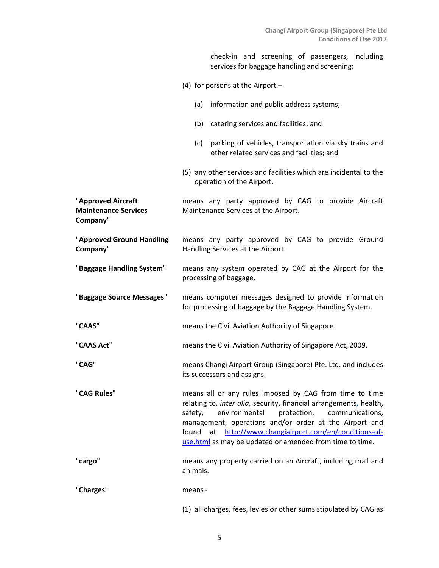check-in and screening of passengers, including services for baggage handling and screening;

- (4) for persons at the Airport
	- (a) information and public address systems;
	- (b) catering services and facilities; and
	- (c) parking of vehicles, transportation via sky trains and other related services and facilities; and
- (5) any other services and facilities which are incidental to the operation of the Airport.

"**Approved Aircraft Maintenance Services Company**" means any party approved by CAG to provide Aircraft Maintenance Services at the Airport.

"**Approved Ground Handling Company**" means any party approved by CAG to provide Ground Handling Services at the Airport.

- "**Baggage Handling System**" means any system operated by CAG at the Airport for the processing of baggage.
- "**Baggage Source Messages**" means computer messages designed to provide information for processing of baggage by the Baggage Handling System.
- "**CAAS**" means the Civil Aviation Authority of Singapore.
- "**CAAS Act**" means the Civil Aviation Authority of Singapore Act, 2009.
- "**CAG**" means Changi Airport Group (Singapore) Pte. Ltd. and includes its successors and assigns.

"**CAG Rules**" means all or any rules imposed by CAG from time to time relating to, *inter alia*, security, financial arrangements, health, safety, environmental protection, communications, management, operations and/or order at the Airport and found at [http://www.changiairport.com/en/conditions-of](http://www.changiairport.com/en/conditions-of-use.html)[use.html](http://www.changiairport.com/en/conditions-of-use.html) as may be updated or amended from time to time.

"**cargo**" means any property carried on an Aircraft, including mail and animals.

"**Charges**" means -

(1) all charges, fees, levies or other sums stipulated by CAG as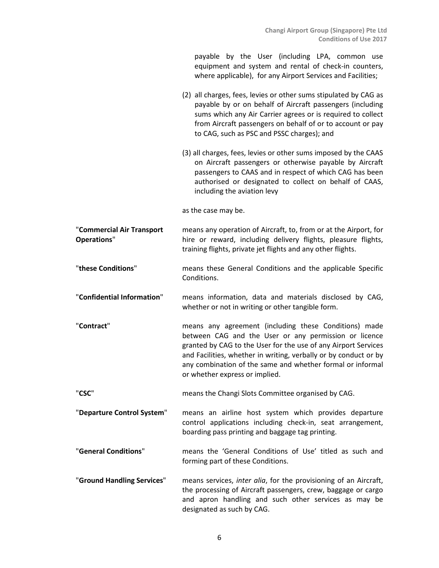|                                                 | payable by the User (including LPA, common use<br>equipment and system and rental of check-in counters,<br>where applicable), for any Airport Services and Facilities;                                                                                                                                                                               |
|-------------------------------------------------|------------------------------------------------------------------------------------------------------------------------------------------------------------------------------------------------------------------------------------------------------------------------------------------------------------------------------------------------------|
|                                                 | (2) all charges, fees, levies or other sums stipulated by CAG as<br>payable by or on behalf of Aircraft passengers (including<br>sums which any Air Carrier agrees or is required to collect<br>from Aircraft passengers on behalf of or to account or pay<br>to CAG, such as PSC and PSSC charges); and                                             |
|                                                 | (3) all charges, fees, levies or other sums imposed by the CAAS<br>on Aircraft passengers or otherwise payable by Aircraft<br>passengers to CAAS and in respect of which CAG has been<br>authorised or designated to collect on behalf of CAAS,<br>including the aviation levy                                                                       |
|                                                 | as the case may be.                                                                                                                                                                                                                                                                                                                                  |
| "Commercial Air Transport<br><b>Operations"</b> | means any operation of Aircraft, to, from or at the Airport, for<br>hire or reward, including delivery flights, pleasure flights,<br>training flights, private jet flights and any other flights.                                                                                                                                                    |
| "these Conditions"                              | means these General Conditions and the applicable Specific<br>Conditions.                                                                                                                                                                                                                                                                            |
| "Confidential Information"                      | means information, data and materials disclosed by CAG,<br>whether or not in writing or other tangible form.                                                                                                                                                                                                                                         |
| "Contract"                                      | means any agreement (including these Conditions) made<br>between CAG and the User or any permission or licence<br>granted by CAG to the User for the use of any Airport Services<br>and Facilities, whether in writing, verbally or by conduct or by<br>any combination of the same and whether formal or informal<br>or whether express or implied. |
| "CSC"                                           | means the Changi Slots Committee organised by CAG.                                                                                                                                                                                                                                                                                                   |
| "Departure Control System"                      | means an airline host system which provides departure<br>control applications including check-in, seat arrangement,<br>boarding pass printing and baggage tag printing.                                                                                                                                                                              |
| "General Conditions"                            | means the 'General Conditions of Use' titled as such and<br>forming part of these Conditions.                                                                                                                                                                                                                                                        |
| "Ground Handling Services"                      | means services, inter alia, for the provisioning of an Aircraft,<br>the processing of Aircraft passengers, crew, baggage or cargo<br>and apron handling and such other services as may be<br>designated as such by CAG.                                                                                                                              |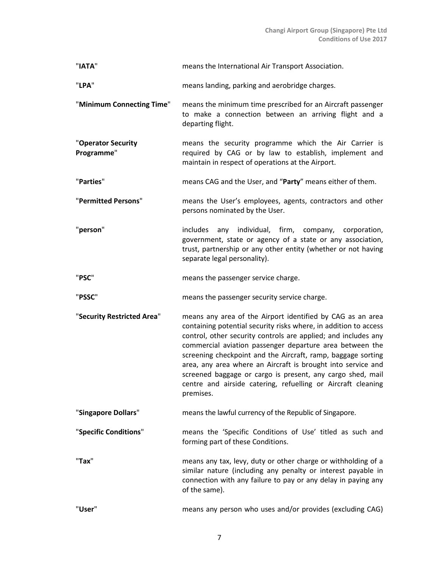| "IATA"                           | means the International Air Transport Association.                                                                                                                                                                                                                                                                                                                                                                                                                                                                                      |
|----------------------------------|-----------------------------------------------------------------------------------------------------------------------------------------------------------------------------------------------------------------------------------------------------------------------------------------------------------------------------------------------------------------------------------------------------------------------------------------------------------------------------------------------------------------------------------------|
| "LPA"                            | means landing, parking and aerobridge charges.                                                                                                                                                                                                                                                                                                                                                                                                                                                                                          |
| "Minimum Connecting Time"        | means the minimum time prescribed for an Aircraft passenger<br>to make a connection between an arriving flight and a<br>departing flight.                                                                                                                                                                                                                                                                                                                                                                                               |
| "Operator Security<br>Programme" | means the security programme which the Air Carrier is<br>required by CAG or by law to establish, implement and<br>maintain in respect of operations at the Airport.                                                                                                                                                                                                                                                                                                                                                                     |
| "Parties"                        | means CAG and the User, and "Party" means either of them.                                                                                                                                                                                                                                                                                                                                                                                                                                                                               |
| "Permitted Persons"              | means the User's employees, agents, contractors and other<br>persons nominated by the User.                                                                                                                                                                                                                                                                                                                                                                                                                                             |
| "person"                         | includes any individual, firm, company, corporation,<br>government, state or agency of a state or any association,<br>trust, partnership or any other entity (whether or not having<br>separate legal personality).                                                                                                                                                                                                                                                                                                                     |
| "PSC"                            | means the passenger service charge.                                                                                                                                                                                                                                                                                                                                                                                                                                                                                                     |
|                                  |                                                                                                                                                                                                                                                                                                                                                                                                                                                                                                                                         |
| "PSSC"                           | means the passenger security service charge.                                                                                                                                                                                                                                                                                                                                                                                                                                                                                            |
| "Security Restricted Area"       | means any area of the Airport identified by CAG as an area<br>containing potential security risks where, in addition to access<br>control, other security controls are applied; and includes any<br>commercial aviation passenger departure area between the<br>screening checkpoint and the Aircraft, ramp, baggage sorting<br>area, any area where an Aircraft is brought into service and<br>screened baggage or cargo is present, any cargo shed, mail<br>centre and airside catering, refuelling or Aircraft cleaning<br>premises. |
| "Singapore Dollars"              | means the lawful currency of the Republic of Singapore.                                                                                                                                                                                                                                                                                                                                                                                                                                                                                 |
| "Specific Conditions"            | means the 'Specific Conditions of Use' titled as such and<br>forming part of these Conditions.                                                                                                                                                                                                                                                                                                                                                                                                                                          |
| "Tax"                            | means any tax, levy, duty or other charge or withholding of a<br>similar nature (including any penalty or interest payable in<br>connection with any failure to pay or any delay in paying any<br>of the same).                                                                                                                                                                                                                                                                                                                         |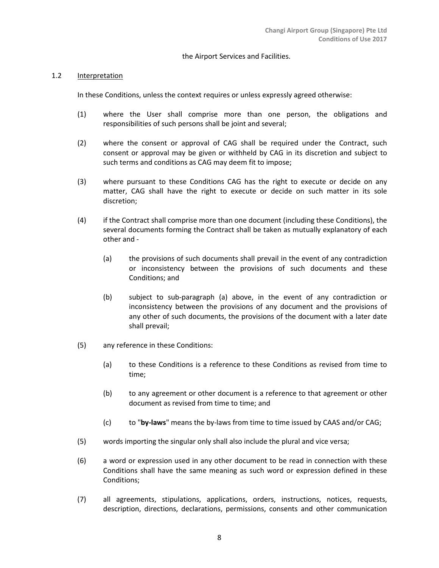#### the Airport Services and Facilities.

#### 1.2 Interpretation

In these Conditions, unless the context requires or unless expressly agreed otherwise:

- (1) where the User shall comprise more than one person, the obligations and responsibilities of such persons shall be joint and several;
- (2) where the consent or approval of CAG shall be required under the Contract, such consent or approval may be given or withheld by CAG in its discretion and subject to such terms and conditions as CAG may deem fit to impose;
- (3) where pursuant to these Conditions CAG has the right to execute or decide on any matter, CAG shall have the right to execute or decide on such matter in its sole discretion;
- (4) if the Contract shall comprise more than one document (including these Conditions), the several documents forming the Contract shall be taken as mutually explanatory of each other and -
	- (a) the provisions of such documents shall prevail in the event of any contradiction or inconsistency between the provisions of such documents and these Conditions; and
	- (b) subject to sub-paragraph (a) above, in the event of any contradiction or inconsistency between the provisions of any document and the provisions of any other of such documents, the provisions of the document with a later date shall prevail;
- (5) any reference in these Conditions:
	- (a) to these Conditions is a reference to these Conditions as revised from time to time;
	- (b) to any agreement or other document is a reference to that agreement or other document as revised from time to time; and
	- (c) to "**by-laws**" means the by-laws from time to time issued by CAAS and/or CAG;
- (5) words importing the singular only shall also include the plural and vice versa;
- (6) a word or expression used in any other document to be read in connection with these Conditions shall have the same meaning as such word or expression defined in these Conditions;
- (7) all agreements, stipulations, applications, orders, instructions, notices, requests, description, directions, declarations, permissions, consents and other communication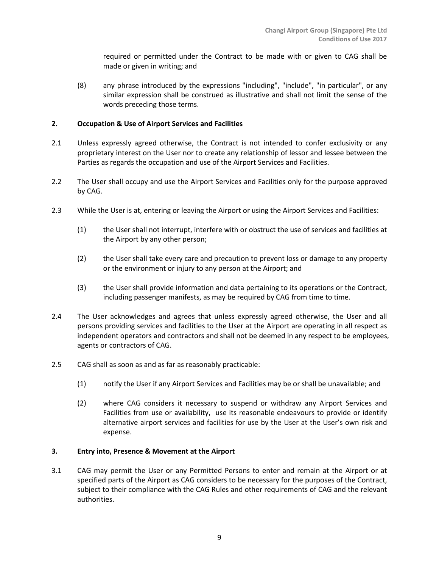required or permitted under the Contract to be made with or given to CAG shall be made or given in writing; and

(8) any phrase introduced by the expressions "including", "include", "in particular", or any similar expression shall be construed as illustrative and shall not limit the sense of the words preceding those terms.

# **2. Occupation & Use of Airport Services and Facilities**

- 2.1 Unless expressly agreed otherwise, the Contract is not intended to confer exclusivity or any proprietary interest on the User nor to create any relationship of lessor and lessee between the Parties as regards the occupation and use of the Airport Services and Facilities.
- 2.2 The User shall occupy and use the Airport Services and Facilities only for the purpose approved by CAG.
- 2.3 While the User is at, entering or leaving the Airport or using the Airport Services and Facilities:
	- (1) the User shall not interrupt, interfere with or obstruct the use of services and facilities at the Airport by any other person;
	- (2) the User shall take every care and precaution to prevent loss or damage to any property or the environment or injury to any person at the Airport; and
	- (3) the User shall provide information and data pertaining to its operations or the Contract, including passenger manifests, as may be required by CAG from time to time.
- 2.4 The User acknowledges and agrees that unless expressly agreed otherwise, the User and all persons providing services and facilities to the User at the Airport are operating in all respect as independent operators and contractors and shall not be deemed in any respect to be employees, agents or contractors of CAG.
- 2.5 CAG shall as soon as and as far as reasonably practicable:
	- (1) notify the User if any Airport Services and Facilities may be or shall be unavailable; and
	- (2) where CAG considers it necessary to suspend or withdraw any Airport Services and Facilities from use or availability, use its reasonable endeavours to provide or identify alternative airport services and facilities for use by the User at the User's own risk and expense.

## **3. Entry into, Presence & Movement at the Airport**

3.1 CAG may permit the User or any Permitted Persons to enter and remain at the Airport or at specified parts of the Airport as CAG considers to be necessary for the purposes of the Contract, subject to their compliance with the CAG Rules and other requirements of CAG and the relevant authorities.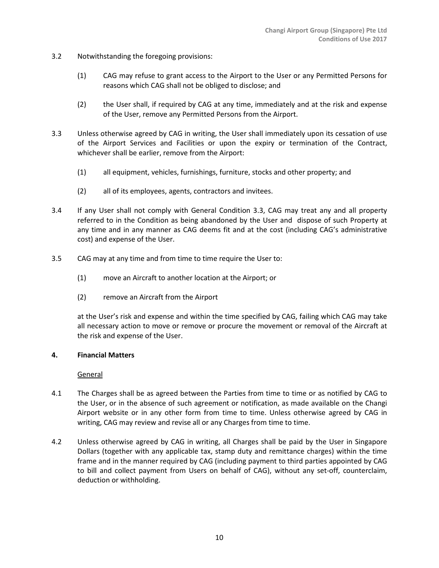- 3.2 Notwithstanding the foregoing provisions:
	- (1) CAG may refuse to grant access to the Airport to the User or any Permitted Persons for reasons which CAG shall not be obliged to disclose; and
	- (2) the User shall, if required by CAG at any time, immediately and at the risk and expense of the User, remove any Permitted Persons from the Airport.
- 3.3 Unless otherwise agreed by CAG in writing, the User shall immediately upon its cessation of use of the Airport Services and Facilities or upon the expiry or termination of the Contract, whichever shall be earlier, remove from the Airport:
	- (1) all equipment, vehicles, furnishings, furniture, stocks and other property; and
	- (2) all of its employees, agents, contractors and invitees.
- 3.4 If any User shall not comply with General Condition 3.3, CAG may treat any and all property referred to in the Condition as being abandoned by the User and dispose of such Property at any time and in any manner as CAG deems fit and at the cost (including CAG's administrative cost) and expense of the User.
- 3.5 CAG may at any time and from time to time require the User to:
	- (1) move an Aircraft to another location at the Airport; or
	- (2) remove an Aircraft from the Airport

at the User's risk and expense and within the time specified by CAG, failing which CAG may take all necessary action to move or remove or procure the movement or removal of the Aircraft at the risk and expense of the User.

#### **4. Financial Matters**

**General** 

- 4.1 The Charges shall be as agreed between the Parties from time to time or as notified by CAG to the User, or in the absence of such agreement or notification, as made available on the Changi Airport website or in any other form from time to time. Unless otherwise agreed by CAG in writing, CAG may review and revise all or any Charges from time to time.
- 4.2 Unless otherwise agreed by CAG in writing, all Charges shall be paid by the User in Singapore Dollars (together with any applicable tax, stamp duty and remittance charges) within the time frame and in the manner required by CAG (including payment to third parties appointed by CAG to bill and collect payment from Users on behalf of CAG), without any set-off, counterclaim, deduction or withholding.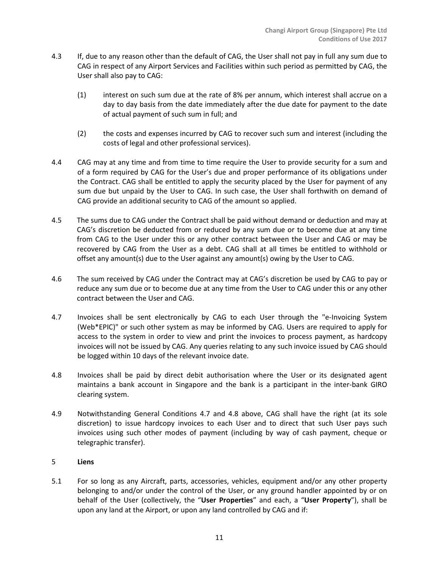- 4.3 If, due to any reason other than the default of CAG, the User shall not pay in full any sum due to CAG in respect of any Airport Services and Facilities within such period as permitted by CAG, the User shall also pay to CAG:
	- (1) interest on such sum due at the rate of 8% per annum, which interest shall accrue on a day to day basis from the date immediately after the due date for payment to the date of actual payment of such sum in full; and
	- (2) the costs and expenses incurred by CAG to recover such sum and interest (including the costs of legal and other professional services).
- 4.4 CAG may at any time and from time to time require the User to provide security for a sum and of a form required by CAG for the User's due and proper performance of its obligations under the Contract. CAG shall be entitled to apply the security placed by the User for payment of any sum due but unpaid by the User to CAG. In such case, the User shall forthwith on demand of CAG provide an additional security to CAG of the amount so applied.
- 4.5 The sums due to CAG under the Contract shall be paid without demand or deduction and may at CAG's discretion be deducted from or reduced by any sum due or to become due at any time from CAG to the User under this or any other contract between the User and CAG or may be recovered by CAG from the User as a debt. CAG shall at all times be entitled to withhold or offset any amount(s) due to the User against any amount(s) owing by the User to CAG.
- 4.6 The sum received by CAG under the Contract may at CAG's discretion be used by CAG to pay or reduce any sum due or to become due at any time from the User to CAG under this or any other contract between the User and CAG.
- 4.7 Invoices shall be sent electronically by CAG to each User through the "e-Invoicing System (Web\*EPIC)" or such other system as may be informed by CAG. Users are required to apply for access to the system in order to view and print the invoices to process payment, as hardcopy invoices will not be issued by CAG. Any queries relating to any such invoice issued by CAG should be logged within 10 days of the relevant invoice date.
- 4.8 Invoices shall be paid by direct debit authorisation where the User or its designated agent maintains a bank account in Singapore and the bank is a participant in the inter-bank GIRO clearing system.
- 4.9 Notwithstanding General Conditions 4.7 and 4.8 above, CAG shall have the right (at its sole discretion) to issue hardcopy invoices to each User and to direct that such User pays such invoices using such other modes of payment (including by way of cash payment, cheque or telegraphic transfer).

# 5 **Liens**

5.1 For so long as any Aircraft, parts, accessories, vehicles, equipment and/or any other property belonging to and/or under the control of the User, or any ground handler appointed by or on behalf of the User (collectively, the "**User Properties**" and each, a "**User Property**"), shall be upon any land at the Airport, or upon any land controlled by CAG and if: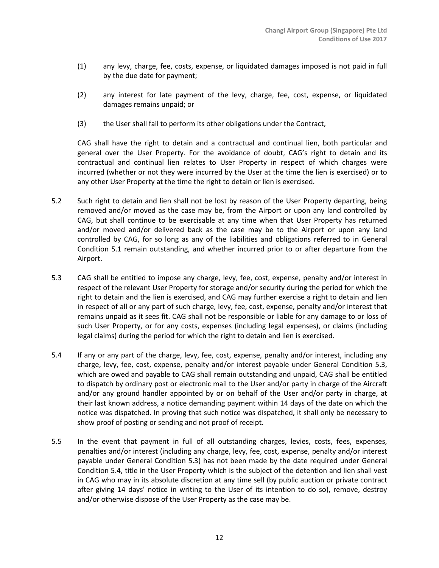- (1) any levy, charge, fee, costs, expense, or liquidated damages imposed is not paid in full by the due date for payment;
- (2) any interest for late payment of the levy, charge, fee, cost, expense, or liquidated damages remains unpaid; or
- (3) the User shall fail to perform its other obligations under the Contract,

CAG shall have the right to detain and a contractual and continual lien, both particular and general over the User Property. For the avoidance of doubt, CAG's right to detain and its contractual and continual lien relates to User Property in respect of which charges were incurred (whether or not they were incurred by the User at the time the lien is exercised) or to any other User Property at the time the right to detain or lien is exercised.

- 5.2 Such right to detain and lien shall not be lost by reason of the User Property departing, being removed and/or moved as the case may be, from the Airport or upon any land controlled by CAG, but shall continue to be exercisable at any time when that User Property has returned and/or moved and/or delivered back as the case may be to the Airport or upon any land controlled by CAG, for so long as any of the liabilities and obligations referred to in General Condition 5.1 remain outstanding, and whether incurred prior to or after departure from the Airport.
- 5.3 CAG shall be entitled to impose any charge, levy, fee, cost, expense, penalty and/or interest in respect of the relevant User Property for storage and/or security during the period for which the right to detain and the lien is exercised, and CAG may further exercise a right to detain and lien in respect of all or any part of such charge, levy, fee, cost, expense, penalty and/or interest that remains unpaid as it sees fit. CAG shall not be responsible or liable for any damage to or loss of such User Property, or for any costs, expenses (including legal expenses), or claims (including legal claims) during the period for which the right to detain and lien is exercised.
- 5.4 If any or any part of the charge, levy, fee, cost, expense, penalty and/or interest, including any charge, levy, fee, cost, expense, penalty and/or interest payable under General Condition 5.3, which are owed and payable to CAG shall remain outstanding and unpaid, CAG shall be entitled to dispatch by ordinary post or electronic mail to the User and/or party in charge of the Aircraft and/or any ground handler appointed by or on behalf of the User and/or party in charge, at their last known address, a notice demanding payment within 14 days of the date on which the notice was dispatched. In proving that such notice was dispatched, it shall only be necessary to show proof of posting or sending and not proof of receipt.
- 5.5 In the event that payment in full of all outstanding charges, levies, costs, fees, expenses, penalties and/or interest (including any charge, levy, fee, cost, expense, penalty and/or interest payable under General Condition 5.3) has not been made by the date required under General Condition 5.4, title in the User Property which is the subject of the detention and lien shall vest in CAG who may in its absolute discretion at any time sell (by public auction or private contract after giving 14 days' notice in writing to the User of its intention to do so), remove, destroy and/or otherwise dispose of the User Property as the case may be.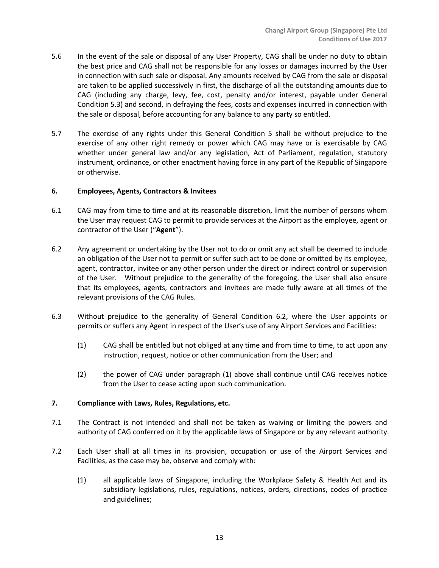- 5.6 In the event of the sale or disposal of any User Property, CAG shall be under no duty to obtain the best price and CAG shall not be responsible for any losses or damages incurred by the User in connection with such sale or disposal. Any amounts received by CAG from the sale or disposal are taken to be applied successively in first, the discharge of all the outstanding amounts due to CAG (including any charge, levy, fee, cost, penalty and/or interest, payable under General Condition 5.3) and second, in defraying the fees, costs and expenses incurred in connection with the sale or disposal, before accounting for any balance to any party so entitled.
- 5.7 The exercise of any rights under this General Condition 5 shall be without prejudice to the exercise of any other right remedy or power which CAG may have or is exercisable by CAG whether under general law and/or any legislation, Act of Parliament, regulation, statutory instrument, ordinance, or other enactment having force in any part of the Republic of Singapore or otherwise.

#### **6. Employees, Agents, Contractors & Invitees**

- 6.1 CAG may from time to time and at its reasonable discretion, limit the number of persons whom the User may request CAG to permit to provide services at the Airport as the employee, agent or contractor of the User ("**Agent**").
- 6.2 Any agreement or undertaking by the User not to do or omit any act shall be deemed to include an obligation of the User not to permit or suffer such act to be done or omitted by its employee, agent, contractor, invitee or any other person under the direct or indirect control or supervision of the User. Without prejudice to the generality of the foregoing, the User shall also ensure that its employees, agents, contractors and invitees are made fully aware at all times of the relevant provisions of the CAG Rules.
- 6.3 Without prejudice to the generality of General Condition 6.2, where the User appoints or permits or suffers any Agent in respect of the User's use of any Airport Services and Facilities:
	- (1) CAG shall be entitled but not obliged at any time and from time to time, to act upon any instruction, request, notice or other communication from the User; and
	- (2) the power of CAG under paragraph (1) above shall continue until CAG receives notice from the User to cease acting upon such communication.

## **7. Compliance with Laws, Rules, Regulations, etc.**

- 7.1 The Contract is not intended and shall not be taken as waiving or limiting the powers and authority of CAG conferred on it by the applicable laws of Singapore or by any relevant authority.
- 7.2 Each User shall at all times in its provision, occupation or use of the Airport Services and Facilities, as the case may be, observe and comply with:
	- (1) all applicable laws of Singapore, including the Workplace Safety & Health Act and its subsidiary legislations, rules, regulations, notices, orders, directions, codes of practice and guidelines;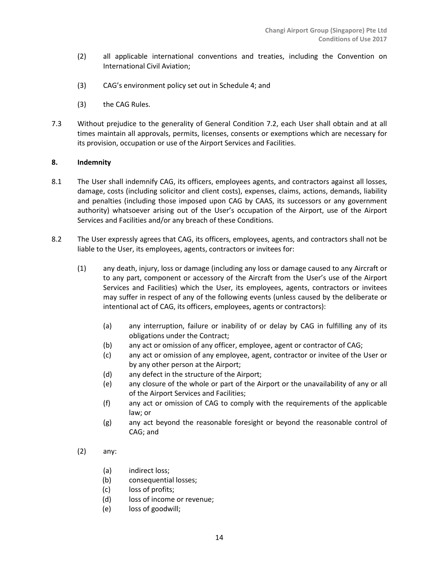- (2) all applicable international conventions and treaties, including the Convention on International Civil Aviation;
- (3) CAG's environment policy set out in Schedule 4; and
- (3) the CAG Rules.
- 7.3 Without prejudice to the generality of General Condition 7.2, each User shall obtain and at all times maintain all approvals, permits, licenses, consents or exemptions which are necessary for its provision, occupation or use of the Airport Services and Facilities.

## **8. Indemnity**

- 8.1 The User shall indemnify CAG, its officers, employees agents, and contractors against all losses, damage, costs (including solicitor and client costs), expenses, claims, actions, demands, liability and penalties (including those imposed upon CAG by CAAS, its successors or any government authority) whatsoever arising out of the User's occupation of the Airport, use of the Airport Services and Facilities and/or any breach of these Conditions.
- 8.2 The User expressly agrees that CAG, its officers, employees, agents, and contractors shall not be liable to the User, its employees, agents, contractors or invitees for:
	- (1) any death, injury, loss or damage (including any loss or damage caused to any Aircraft or to any part, component or accessory of the Aircraft from the User's use of the Airport Services and Facilities) which the User, its employees, agents, contractors or invitees may suffer in respect of any of the following events (unless caused by the deliberate or intentional act of CAG, its officers, employees, agents or contractors):
		- (a) any interruption, failure or inability of or delay by CAG in fulfilling any of its obligations under the Contract;
		- (b) any act or omission of any officer, employee, agent or contractor of CAG;
		- (c) any act or omission of any employee, agent, contractor or invitee of the User or by any other person at the Airport;
		- (d) any defect in the structure of the Airport;
		- (e) any closure of the whole or part of the Airport or the unavailability of any or all of the Airport Services and Facilities;
		- (f) any act or omission of CAG to comply with the requirements of the applicable law; or
		- (g) any act beyond the reasonable foresight or beyond the reasonable control of CAG; and
	- (2) any:
		- (a) indirect loss;
		- (b) consequential losses;
		- (c) loss of profits;
		- (d) loss of income or revenue;
		- (e) loss of goodwill;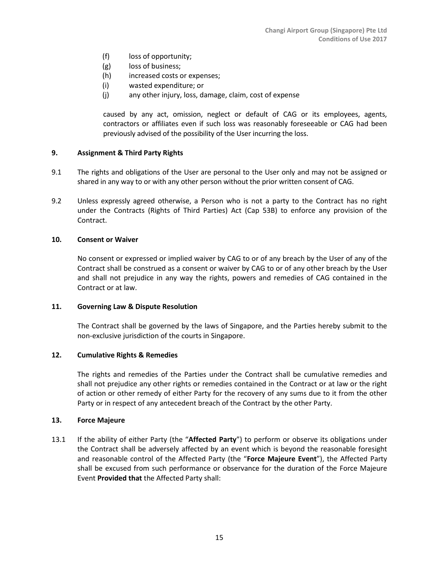- (f) loss of opportunity;
- (g) loss of business;
- (h) increased costs or expenses;
- (i) wasted expenditure; or
- (j) any other injury, loss, damage, claim, cost of expense

caused by any act, omission, neglect or default of CAG or its employees, agents, contractors or affiliates even if such loss was reasonably foreseeable or CAG had been previously advised of the possibility of the User incurring the loss.

## **9. Assignment & Third Party Rights**

- 9.1 The rights and obligations of the User are personal to the User only and may not be assigned or shared in any way to or with any other person without the prior written consent of CAG.
- 9.2 Unless expressly agreed otherwise, a Person who is not a party to the Contract has no right under the Contracts (Rights of Third Parties) Act (Cap 53B) to enforce any provision of the Contract.

#### **10. Consent or Waiver**

No consent or expressed or implied waiver by CAG to or of any breach by the User of any of the Contract shall be construed as a consent or waiver by CAG to or of any other breach by the User and shall not prejudice in any way the rights, powers and remedies of CAG contained in the Contract or at law.

#### **11. Governing Law & Dispute Resolution**

The Contract shall be governed by the laws of Singapore, and the Parties hereby submit to the non-exclusive jurisdiction of the courts in Singapore.

#### **12. Cumulative Rights & Remedies**

The rights and remedies of the Parties under the Contract shall be cumulative remedies and shall not prejudice any other rights or remedies contained in the Contract or at law or the right of action or other remedy of either Party for the recovery of any sums due to it from the other Party or in respect of any antecedent breach of the Contract by the other Party.

#### **13. Force Majeure**

13.1 If the ability of either Party (the "**Affected Party**") to perform or observe its obligations under the Contract shall be adversely affected by an event which is beyond the reasonable foresight and reasonable control of the Affected Party (the "**Force Majeure Event**"), the Affected Party shall be excused from such performance or observance for the duration of the Force Majeure Event **Provided that** the Affected Party shall: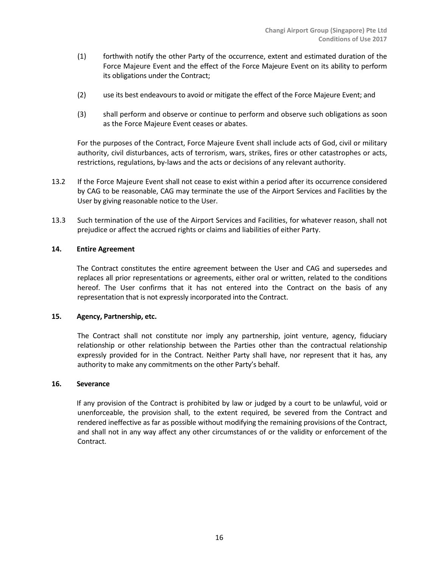- (1) forthwith notify the other Party of the occurrence, extent and estimated duration of the Force Majeure Event and the effect of the Force Majeure Event on its ability to perform its obligations under the Contract;
- (2) use its best endeavours to avoid or mitigate the effect of the Force Majeure Event; and
- (3) shall perform and observe or continue to perform and observe such obligations as soon as the Force Majeure Event ceases or abates.

For the purposes of the Contract, Force Majeure Event shall include acts of God, civil or military authority, civil disturbances, acts of terrorism, wars, strikes, fires or other catastrophes or acts, restrictions, regulations, by-laws and the acts or decisions of any relevant authority.

- 13.2 If the Force Majeure Event shall not cease to exist within a period after its occurrence considered by CAG to be reasonable, CAG may terminate the use of the Airport Services and Facilities by the User by giving reasonable notice to the User.
- 13.3 Such termination of the use of the Airport Services and Facilities, for whatever reason, shall not prejudice or affect the accrued rights or claims and liabilities of either Party.

#### **14. Entire Agreement**

The Contract constitutes the entire agreement between the User and CAG and supersedes and replaces all prior representations or agreements, either oral or written, related to the conditions hereof. The User confirms that it has not entered into the Contract on the basis of any representation that is not expressly incorporated into the Contract.

## **15. Agency, Partnership, etc.**

The Contract shall not constitute nor imply any partnership, joint venture, agency, fiduciary relationship or other relationship between the Parties other than the contractual relationship expressly provided for in the Contract. Neither Party shall have, nor represent that it has, any authority to make any commitments on the other Party's behalf.

#### **16. Severance**

If any provision of the Contract is prohibited by law or judged by a court to be unlawful, void or unenforceable, the provision shall, to the extent required, be severed from the Contract and rendered ineffective as far as possible without modifying the remaining provisions of the Contract, and shall not in any way affect any other circumstances of or the validity or enforcement of the Contract.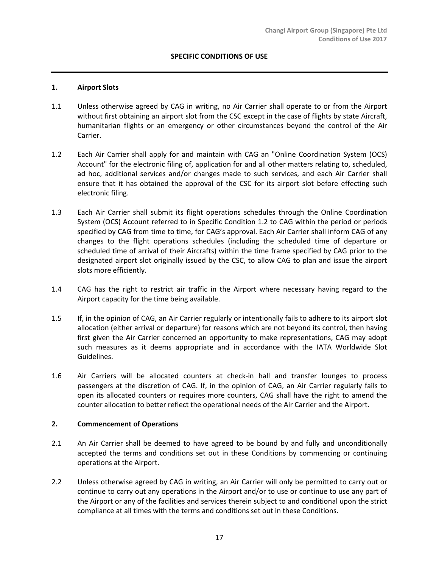## **SPECIFIC CONDITIONS OF USE**

#### **1. Airport Slots**

- 1.1 Unless otherwise agreed by CAG in writing, no Air Carrier shall operate to or from the Airport without first obtaining an airport slot from the CSC except in the case of flights by state Aircraft, humanitarian flights or an emergency or other circumstances beyond the control of the Air Carrier.
- 1.2 Each Air Carrier shall apply for and maintain with CAG an "Online Coordination System (OCS) Account" for the electronic filing of, application for and all other matters relating to, scheduled, ad hoc, additional services and/or changes made to such services, and each Air Carrier shall ensure that it has obtained the approval of the CSC for its airport slot before effecting such electronic filing.
- 1.3 Each Air Carrier shall submit its flight operations schedules through the Online Coordination System (OCS) Account referred to in Specific Condition 1.2 to CAG within the period or periods specified by CAG from time to time, for CAG's approval. Each Air Carrier shall inform CAG of any changes to the flight operations schedules (including the scheduled time of departure or scheduled time of arrival of their Aircrafts) within the time frame specified by CAG prior to the designated airport slot originally issued by the CSC, to allow CAG to plan and issue the airport slots more efficiently.
- 1.4 CAG has the right to restrict air traffic in the Airport where necessary having regard to the Airport capacity for the time being available.
- 1.5 If, in the opinion of CAG, an Air Carrier regularly or intentionally fails to adhere to its airport slot allocation (either arrival or departure) for reasons which are not beyond its control, then having first given the Air Carrier concerned an opportunity to make representations, CAG may adopt such measures as it deems appropriate and in accordance with the IATA Worldwide Slot Guidelines.
- 1.6 Air Carriers will be allocated counters at check-in hall and transfer lounges to process passengers at the discretion of CAG. If, in the opinion of CAG, an Air Carrier regularly fails to open its allocated counters or requires more counters, CAG shall have the right to amend the counter allocation to better reflect the operational needs of the Air Carrier and the Airport.

#### **2. Commencement of Operations**

- 2.1 An Air Carrier shall be deemed to have agreed to be bound by and fully and unconditionally accepted the terms and conditions set out in these Conditions by commencing or continuing operations at the Airport.
- 2.2 Unless otherwise agreed by CAG in writing, an Air Carrier will only be permitted to carry out or continue to carry out any operations in the Airport and/or to use or continue to use any part of the Airport or any of the facilities and services therein subject to and conditional upon the strict compliance at all times with the terms and conditions set out in these Conditions.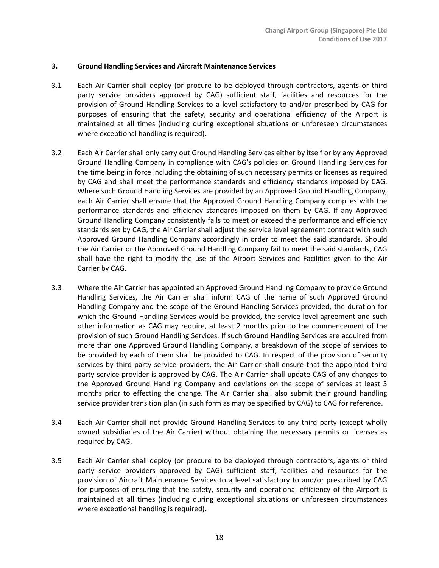#### **3. Ground Handling Services and Aircraft Maintenance Services**

- 3.1 Each Air Carrier shall deploy (or procure to be deployed through contractors, agents or third party service providers approved by CAG) sufficient staff, facilities and resources for the provision of Ground Handling Services to a level satisfactory to and/or prescribed by CAG for purposes of ensuring that the safety, security and operational efficiency of the Airport is maintained at all times (including during exceptional situations or unforeseen circumstances where exceptional handling is required).
- 3.2 Each Air Carrier shall only carry out Ground Handling Services either by itself or by any Approved Ground Handling Company in compliance with CAG's policies on Ground Handling Services for the time being in force including the obtaining of such necessary permits or licenses as required by CAG and shall meet the performance standards and efficiency standards imposed by CAG. Where such Ground Handling Services are provided by an Approved Ground Handling Company, each Air Carrier shall ensure that the Approved Ground Handling Company complies with the performance standards and efficiency standards imposed on them by CAG. If any Approved Ground Handling Company consistently fails to meet or exceed the performance and efficiency standards set by CAG, the Air Carrier shall adjust the service level agreement contract with such Approved Ground Handling Company accordingly in order to meet the said standards. Should the Air Carrier or the Approved Ground Handling Company fail to meet the said standards, CAG shall have the right to modify the use of the Airport Services and Facilities given to the Air Carrier by CAG.
- 3.3 Where the Air Carrier has appointed an Approved Ground Handling Company to provide Ground Handling Services, the Air Carrier shall inform CAG of the name of such Approved Ground Handling Company and the scope of the Ground Handling Services provided, the duration for which the Ground Handling Services would be provided, the service level agreement and such other information as CAG may require, at least 2 months prior to the commencement of the provision of such Ground Handling Services. If such Ground Handling Services are acquired from more than one Approved Ground Handling Company, a breakdown of the scope of services to be provided by each of them shall be provided to CAG. In respect of the provision of security services by third party service providers, the Air Carrier shall ensure that the appointed third party service provider is approved by CAG. The Air Carrier shall update CAG of any changes to the Approved Ground Handling Company and deviations on the scope of services at least 3 months prior to effecting the change. The Air Carrier shall also submit their ground handling service provider transition plan (in such form as may be specified by CAG) to CAG for reference.
- 3.4 Each Air Carrier shall not provide Ground Handling Services to any third party (except wholly owned subsidiaries of the Air Carrier) without obtaining the necessary permits or licenses as required by CAG.
- 3.5 Each Air Carrier shall deploy (or procure to be deployed through contractors, agents or third party service providers approved by CAG) sufficient staff, facilities and resources for the provision of Aircraft Maintenance Services to a level satisfactory to and/or prescribed by CAG for purposes of ensuring that the safety, security and operational efficiency of the Airport is maintained at all times (including during exceptional situations or unforeseen circumstances where exceptional handling is required).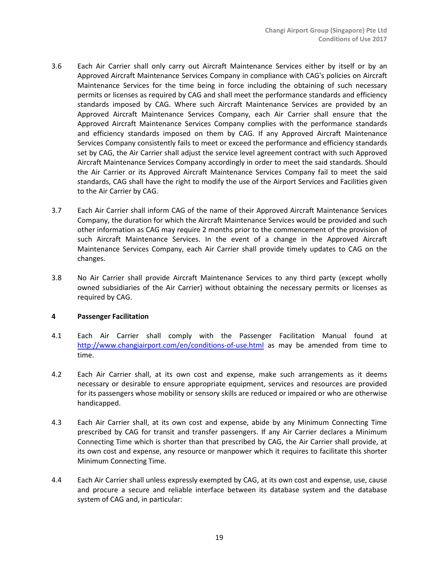- 3.6 Each Air Carrier shall only carry out Aircraft Maintenance Services either by itself or by an Approved Aircraft Maintenance Services Company in compliance with CAG's policies on Aircraft Maintenance Services for the time being in force including the obtaining of such necessary permits or licenses as required by CAG and shall meet the performance standards and efficiency standards imposed by CAG. Where such Aircraft Maintenance Services are provided by an Approved Aircraft Maintenance Services Company, each Air Carrier shall ensure that the Approved Aircraft Maintenance Services Company complies with the performance standards and efficiency standards imposed on them by CAG. If any Approved Aircraft Maintenance Services Company consistently fails to meet or exceed the performance and efficiency standards set by CAG, the Air Carrier shall adjust the service level agreement contract with such Approved Aircraft Maintenance Services Company accordingly in order to meet the said standards. Should the Air Carrier or its Approved Aircraft Maintenance Services Company fail to meet the said standards, CAG shall have the right to modify the use of the Airport Services and Facilities given to the Air Carrier by CAG.
- 3.7 Each Air Carrier shall inform CAG of the name of their Approved Aircraft Maintenance Services Company, the duration for which the Aircraft Maintenance Services would be provided and such other information as CAG may require 2 months prior to the commencement of the provision of such Aircraft Maintenance Services. In the event of a change in the Approved Aircraft Maintenance Services Company, each Air Carrier shall provide timely updates to CAG on the changes.
- 3.8 No Air Carrier shall provide Aircraft Maintenance Services to any third party (except wholly owned subsidiaries of the Air Carrier) without obtaining the necessary permits or licenses as required by CAG.

## **4 Passenger Facilitation**

- 4.1 Each Air Carrier shall comply with the Passenger Facilitation Manual found at <http://www.changiairport.com/en/conditions-of-use.html> as may be amended from time to time.
- 4.2 Each Air Carrier shall, at its own cost and expense, make such arrangements as it deems necessary or desirable to ensure appropriate equipment, services and resources are provided for its passengers whose mobility or sensory skills are reduced or impaired or who are otherwise handicapped.
- 4.3 Each Air Carrier shall, at its own cost and expense, abide by any Minimum Connecting Time prescribed by CAG for transit and transfer passengers. If any Air Carrier declares a Minimum Connecting Time which is shorter than that prescribed by CAG, the Air Carrier shall provide, at its own cost and expense, any resource or manpower which it requires to facilitate this shorter Minimum Connecting Time.
- 4.4 Each Air Carrier shall unless expressly exempted by CAG, at its own cost and expense, use, cause and procure a secure and reliable interface between its database system and the database system of CAG and, in particular: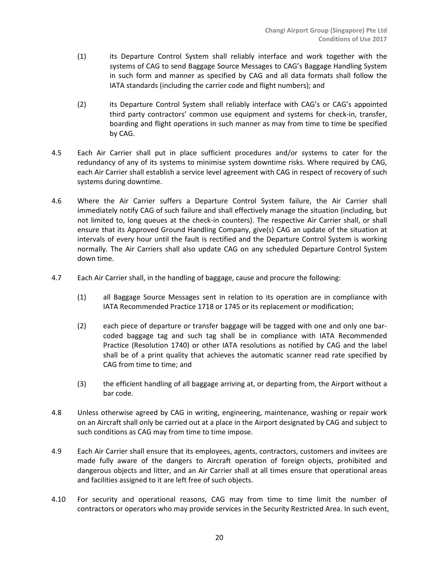- (1) its Departure Control System shall reliably interface and work together with the systems of CAG to send Baggage Source Messages to CAG's Baggage Handling System in such form and manner as specified by CAG and all data formats shall follow the IATA standards (including the carrier code and flight numbers); and
- (2) its Departure Control System shall reliably interface with CAG's or CAG's appointed third party contractors' common use equipment and systems for check-in, transfer, boarding and flight operations in such manner as may from time to time be specified by CAG.
- 4.5 Each Air Carrier shall put in place sufficient procedures and/or systems to cater for the redundancy of any of its systems to minimise system downtime risks. Where required by CAG, each Air Carrier shall establish a service level agreement with CAG in respect of recovery of such systems during downtime.
- 4.6 Where the Air Carrier suffers a Departure Control System failure, the Air Carrier shall immediately notify CAG of such failure and shall effectively manage the situation (including, but not limited to, long queues at the check-in counters). The respective Air Carrier shall, or shall ensure that its Approved Ground Handling Company, give(s) CAG an update of the situation at intervals of every hour until the fault is rectified and the Departure Control System is working normally. The Air Carriers shall also update CAG on any scheduled Departure Control System down time.
- 4.7 Each Air Carrier shall, in the handling of baggage, cause and procure the following:
	- (1) all Baggage Source Messages sent in relation to its operation are in compliance with IATA Recommended Practice 1718 or 1745 or its replacement or modification;
	- (2) each piece of departure or transfer baggage will be tagged with one and only one barcoded baggage tag and such tag shall be in compliance with IATA Recommended Practice (Resolution 1740) or other IATA resolutions as notified by CAG and the label shall be of a print quality that achieves the automatic scanner read rate specified by CAG from time to time; and
	- (3) the efficient handling of all baggage arriving at, or departing from, the Airport without a bar code.
- 4.8 Unless otherwise agreed by CAG in writing, engineering, maintenance, washing or repair work on an Aircraft shall only be carried out at a place in the Airport designated by CAG and subject to such conditions as CAG may from time to time impose.
- 4.9 Each Air Carrier shall ensure that its employees, agents, contractors, customers and invitees are made fully aware of the dangers to Aircraft operation of foreign objects, prohibited and dangerous objects and litter, and an Air Carrier shall at all times ensure that operational areas and facilities assigned to it are left free of such objects.
- 4.10 For security and operational reasons, CAG may from time to time limit the number of contractors or operators who may provide services in the Security Restricted Area. In such event,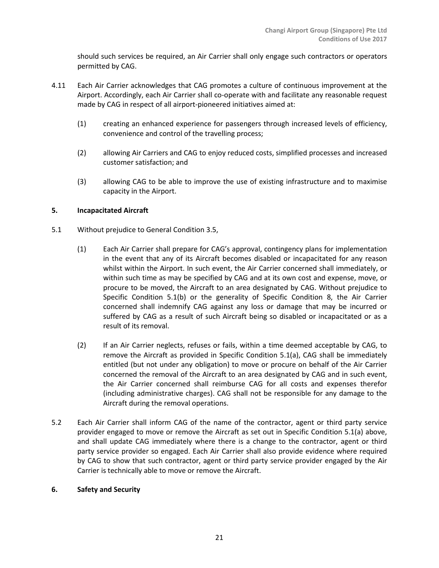should such services be required, an Air Carrier shall only engage such contractors or operators permitted by CAG.

- 4.11 Each Air Carrier acknowledges that CAG promotes a culture of continuous improvement at the Airport. Accordingly, each Air Carrier shall co-operate with and facilitate any reasonable request made by CAG in respect of all airport-pioneered initiatives aimed at:
	- (1) creating an enhanced experience for passengers through increased levels of efficiency, convenience and control of the travelling process;
	- (2) allowing Air Carriers and CAG to enjoy reduced costs, simplified processes and increased customer satisfaction; and
	- (3) allowing CAG to be able to improve the use of existing infrastructure and to maximise capacity in the Airport.

# **5. Incapacitated Aircraft**

- 5.1 Without prejudice to General Condition 3.5,
	- (1) Each Air Carrier shall prepare for CAG's approval, contingency plans for implementation in the event that any of its Aircraft becomes disabled or incapacitated for any reason whilst within the Airport. In such event, the Air Carrier concerned shall immediately, or within such time as may be specified by CAG and at its own cost and expense, move, or procure to be moved, the Aircraft to an area designated by CAG. Without prejudice to Specific Condition 5.1(b) or the generality of Specific Condition 8, the Air Carrier concerned shall indemnify CAG against any loss or damage that may be incurred or suffered by CAG as a result of such Aircraft being so disabled or incapacitated or as a result of its removal.
	- (2) If an Air Carrier neglects, refuses or fails, within a time deemed acceptable by CAG, to remove the Aircraft as provided in Specific Condition 5.1(a), CAG shall be immediately entitled (but not under any obligation) to move or procure on behalf of the Air Carrier concerned the removal of the Aircraft to an area designated by CAG and in such event, the Air Carrier concerned shall reimburse CAG for all costs and expenses therefor (including administrative charges). CAG shall not be responsible for any damage to the Aircraft during the removal operations.
- 5.2 Each Air Carrier shall inform CAG of the name of the contractor, agent or third party service provider engaged to move or remove the Aircraft as set out in Specific Condition 5.1(a) above, and shall update CAG immediately where there is a change to the contractor, agent or third party service provider so engaged. Each Air Carrier shall also provide evidence where required by CAG to show that such contractor, agent or third party service provider engaged by the Air Carrier is technically able to move or remove the Aircraft.

## **6. Safety and Security**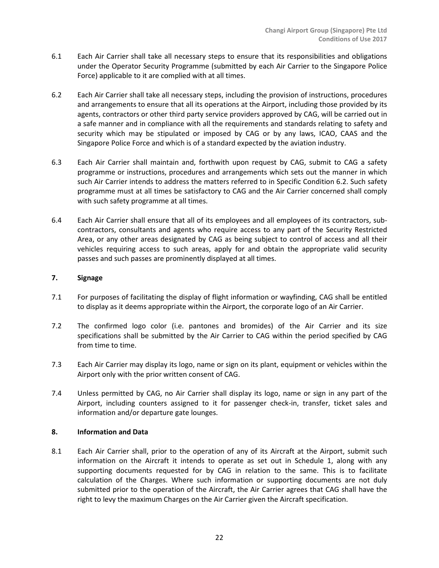- 6.1 Each Air Carrier shall take all necessary steps to ensure that its responsibilities and obligations under the Operator Security Programme (submitted by each Air Carrier to the Singapore Police Force) applicable to it are complied with at all times.
- 6.2 Each Air Carrier shall take all necessary steps, including the provision of instructions, procedures and arrangements to ensure that all its operations at the Airport, including those provided by its agents, contractors or other third party service providers approved by CAG, will be carried out in a safe manner and in compliance with all the requirements and standards relating to safety and security which may be stipulated or imposed by CAG or by any laws, ICAO, CAAS and the Singapore Police Force and which is of a standard expected by the aviation industry.
- 6.3 Each Air Carrier shall maintain and, forthwith upon request by CAG, submit to CAG a safety programme or instructions, procedures and arrangements which sets out the manner in which such Air Carrier intends to address the matters referred to in Specific Condition 6.2. Such safety programme must at all times be satisfactory to CAG and the Air Carrier concerned shall comply with such safety programme at all times.
- 6.4 Each Air Carrier shall ensure that all of its employees and all employees of its contractors, subcontractors, consultants and agents who require access to any part of the Security Restricted Area, or any other areas designated by CAG as being subject to control of access and all their vehicles requiring access to such areas, apply for and obtain the appropriate valid security passes and such passes are prominently displayed at all times.

# **7. Signage**

- 7.1 For purposes of facilitating the display of flight information or wayfinding, CAG shall be entitled to display as it deems appropriate within the Airport, the corporate logo of an Air Carrier.
- 7.2 The confirmed logo color (i.e. pantones and bromides) of the Air Carrier and its size specifications shall be submitted by the Air Carrier to CAG within the period specified by CAG from time to time.
- 7.3 Each Air Carrier may display its logo, name or sign on its plant, equipment or vehicles within the Airport only with the prior written consent of CAG.
- 7.4 Unless permitted by CAG, no Air Carrier shall display its logo, name or sign in any part of the Airport, including counters assigned to it for passenger check-in, transfer, ticket sales and information and/or departure gate lounges.

## **8. Information and Data**

8.1 Each Air Carrier shall, prior to the operation of any of its Aircraft at the Airport, submit such information on the Aircraft it intends to operate as set out in Schedule 1, along with any supporting documents requested for by CAG in relation to the same. This is to facilitate calculation of the Charges. Where such information or supporting documents are not duly submitted prior to the operation of the Aircraft, the Air Carrier agrees that CAG shall have the right to levy the maximum Charges on the Air Carrier given the Aircraft specification.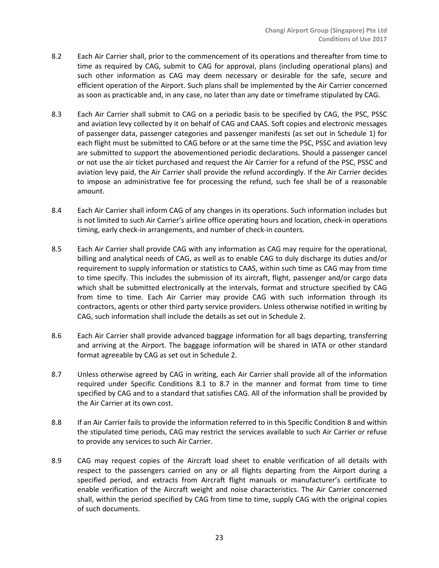- 8.2 Each Air Carrier shall, prior to the commencement of its operations and thereafter from time to time as required by CAG, submit to CAG for approval, plans (including operational plans) and such other information as CAG may deem necessary or desirable for the safe, secure and efficient operation of the Airport. Such plans shall be implemented by the Air Carrier concerned as soon as practicable and, in any case, no later than any date or timeframe stipulated by CAG.
- 8.3 Each Air Carrier shall submit to CAG on a periodic basis to be specified by CAG, the PSC, PSSC and aviation levy collected by it on behalf of CAG and CAAS. Soft copies and electronic messages of passenger data, passenger categories and passenger manifests (as set out in Schedule 1) for each flight must be submitted to CAG before or at the same time the PSC, PSSC and aviation levy are submitted to support the abovementioned periodic declarations. Should a passenger cancel or not use the air ticket purchased and request the Air Carrier for a refund of the PSC, PSSC and aviation levy paid, the Air Carrier shall provide the refund accordingly. If the Air Carrier decides to impose an administrative fee for processing the refund, such fee shall be of a reasonable amount.
- 8.4 Each Air Carrier shall inform CAG of any changes in its operations. Such information includes but is not limited to such Air Carrier's airline office operating hours and location, check-in operations timing, early check-in arrangements, and number of check-in counters.
- 8.5 Each Air Carrier shall provide CAG with any information as CAG may require for the operational, billing and analytical needs of CAG, as well as to enable CAG to duly discharge its duties and/or requirement to supply information or statistics to CAAS, within such time as CAG may from time to time specify. This includes the submission of its aircraft, flight, passenger and/or cargo data which shall be submitted electronically at the intervals, format and structure specified by CAG from time to time. Each Air Carrier may provide CAG with such information through its contractors, agents or other third party service providers. Unless otherwise notified in writing by CAG, such information shall include the details as set out in Schedule 2.
- 8.6 Each Air Carrier shall provide advanced baggage information for all bags departing, transferring and arriving at the Airport. The baggage information will be shared in IATA or other standard format agreeable by CAG as set out in Schedule 2.
- 8.7 Unless otherwise agreed by CAG in writing, each Air Carrier shall provide all of the information required under Specific Conditions 8.1 to 8.7 in the manner and format from time to time specified by CAG and to a standard that satisfies CAG. All of the information shall be provided by the Air Carrier at its own cost.
- 8.8 If an Air Carrier fails to provide the information referred to in this Specific Condition 8 and within the stipulated time periods, CAG may restrict the services available to such Air Carrier or refuse to provide any services to such Air Carrier.
- 8.9 CAG may request copies of the Aircraft load sheet to enable verification of all details with respect to the passengers carried on any or all flights departing from the Airport during a specified period, and extracts from Aircraft flight manuals or manufacturer's certificate to enable verification of the Aircraft weight and noise characteristics. The Air Carrier concerned shall, within the period specified by CAG from time to time, supply CAG with the original copies of such documents.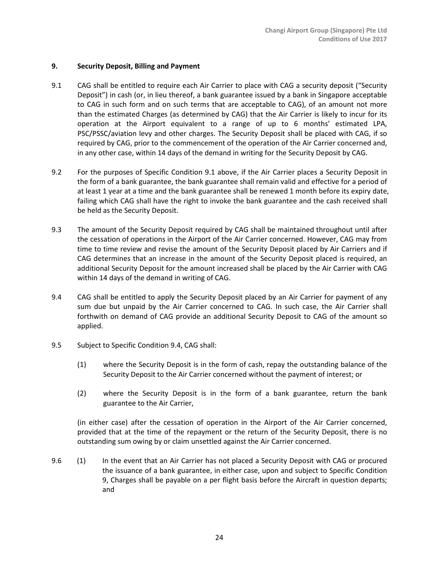## **9. Security Deposit, Billing and Payment**

- 9.1 CAG shall be entitled to require each Air Carrier to place with CAG a security deposit ("Security Deposit") in cash (or, in lieu thereof, a bank guarantee issued by a bank in Singapore acceptable to CAG in such form and on such terms that are acceptable to CAG), of an amount not more than the estimated Charges (as determined by CAG) that the Air Carrier is likely to incur for its operation at the Airport equivalent to a range of up to 6 months' estimated LPA, PSC/PSSC/aviation levy and other charges. The Security Deposit shall be placed with CAG, if so required by CAG, prior to the commencement of the operation of the Air Carrier concerned and, in any other case, within 14 days of the demand in writing for the Security Deposit by CAG.
- 9.2 For the purposes of Specific Condition 9.1 above, if the Air Carrier places a Security Deposit in the form of a bank guarantee, the bank guarantee shall remain valid and effective for a period of at least 1 year at a time and the bank guarantee shall be renewed 1 month before its expiry date, failing which CAG shall have the right to invoke the bank guarantee and the cash received shall be held as the Security Deposit.
- 9.3 The amount of the Security Deposit required by CAG shall be maintained throughout until after the cessation of operations in the Airport of the Air Carrier concerned. However, CAG may from time to time review and revise the amount of the Security Deposit placed by Air Carriers and if CAG determines that an increase in the amount of the Security Deposit placed is required, an additional Security Deposit for the amount increased shall be placed by the Air Carrier with CAG within 14 days of the demand in writing of CAG.
- 9.4 CAG shall be entitled to apply the Security Deposit placed by an Air Carrier for payment of any sum due but unpaid by the Air Carrier concerned to CAG. In such case, the Air Carrier shall forthwith on demand of CAG provide an additional Security Deposit to CAG of the amount so applied.
- 9.5 Subject to Specific Condition 9.4, CAG shall:
	- (1) where the Security Deposit is in the form of cash, repay the outstanding balance of the Security Deposit to the Air Carrier concerned without the payment of interest; or
	- (2) where the Security Deposit is in the form of a bank guarantee, return the bank guarantee to the Air Carrier,

(in either case) after the cessation of operation in the Airport of the Air Carrier concerned, provided that at the time of the repayment or the return of the Security Deposit, there is no outstanding sum owing by or claim unsettled against the Air Carrier concerned.

9.6 (1) In the event that an Air Carrier has not placed a Security Deposit with CAG or procured the issuance of a bank guarantee, in either case, upon and subject to Specific Condition 9, Charges shall be payable on a per flight basis before the Aircraft in question departs; and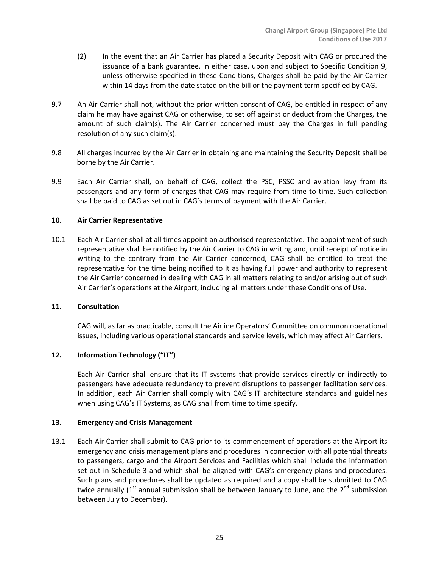- (2) In the event that an Air Carrier has placed a Security Deposit with CAG or procured the issuance of a bank guarantee, in either case, upon and subject to Specific Condition 9, unless otherwise specified in these Conditions, Charges shall be paid by the Air Carrier within 14 days from the date stated on the bill or the payment term specified by CAG.
- 9.7 An Air Carrier shall not, without the prior written consent of CAG, be entitled in respect of any claim he may have against CAG or otherwise, to set off against or deduct from the Charges, the amount of such claim(s). The Air Carrier concerned must pay the Charges in full pending resolution of any such claim(s).
- 9.8 All charges incurred by the Air Carrier in obtaining and maintaining the Security Deposit shall be borne by the Air Carrier.
- 9.9 Each Air Carrier shall, on behalf of CAG, collect the PSC, PSSC and aviation levy from its passengers and any form of charges that CAG may require from time to time. Such collection shall be paid to CAG as set out in CAG's terms of payment with the Air Carrier.

## **10. Air Carrier Representative**

10.1 Each Air Carrier shall at all times appoint an authorised representative. The appointment of such representative shall be notified by the Air Carrier to CAG in writing and, until receipt of notice in writing to the contrary from the Air Carrier concerned, CAG shall be entitled to treat the representative for the time being notified to it as having full power and authority to represent the Air Carrier concerned in dealing with CAG in all matters relating to and/or arising out of such Air Carrier's operations at the Airport, including all matters under these Conditions of Use.

#### **11. Consultation**

CAG will, as far as practicable, consult the Airline Operators' Committee on common operational issues, including various operational standards and service levels, which may affect Air Carriers.

# **12. Information Technology ("IT")**

Each Air Carrier shall ensure that its IT systems that provide services directly or indirectly to passengers have adequate redundancy to prevent disruptions to passenger facilitation services. In addition, each Air Carrier shall comply with CAG's IT architecture standards and guidelines when using CAG's IT Systems, as CAG shall from time to time specify.

## **13. Emergency and Crisis Management**

13.1 Each Air Carrier shall submit to CAG prior to its commencement of operations at the Airport its emergency and crisis management plans and procedures in connection with all potential threats to passengers, cargo and the Airport Services and Facilities which shall include the information set out in Schedule 3 and which shall be aligned with CAG's emergency plans and procedures. Such plans and procedures shall be updated as required and a copy shall be submitted to CAG twice annually ( $1<sup>st</sup>$  annual submission shall be between January to June, and the  $2<sup>nd</sup>$  submission between July to December).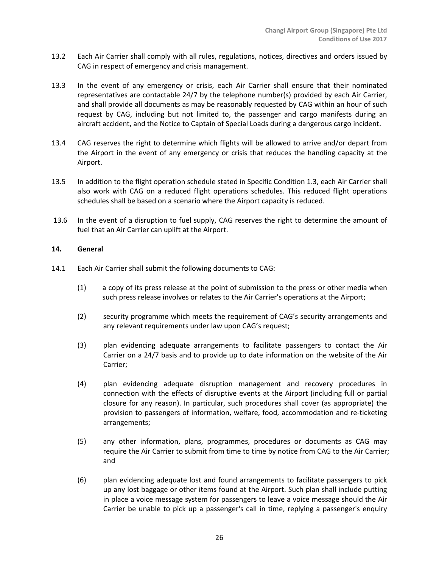- 13.2 Each Air Carrier shall comply with all rules, regulations, notices, directives and orders issued by CAG in respect of emergency and crisis management.
- 13.3 In the event of any emergency or crisis, each Air Carrier shall ensure that their nominated representatives are contactable 24/7 by the telephone number(s) provided by each Air Carrier, and shall provide all documents as may be reasonably requested by CAG within an hour of such request by CAG, including but not limited to, the passenger and cargo manifests during an aircraft accident, and the Notice to Captain of Special Loads during a dangerous cargo incident.
- 13.4 CAG reserves the right to determine which flights will be allowed to arrive and/or depart from the Airport in the event of any emergency or crisis that reduces the handling capacity at the Airport.
- 13.5 In addition to the flight operation schedule stated in Specific Condition 1.3, each Air Carrier shall also work with CAG on a reduced flight operations schedules. This reduced flight operations schedules shall be based on a scenario where the Airport capacity is reduced.
- 13.6 In the event of a disruption to fuel supply, CAG reserves the right to determine the amount of fuel that an Air Carrier can uplift at the Airport.

## **14. General**

- 14.1 Each Air Carrier shall submit the following documents to CAG:
	- (1) a copy of its press release at the point of submission to the press or other media when such press release involves or relates to the Air Carrier's operations at the Airport;
	- (2) security programme which meets the requirement of CAG's security arrangements and any relevant requirements under law upon CAG's request;
	- (3) plan evidencing adequate arrangements to facilitate passengers to contact the Air Carrier on a 24/7 basis and to provide up to date information on the website of the Air Carrier;
	- (4) plan evidencing adequate disruption management and recovery procedures in connection with the effects of disruptive events at the Airport (including full or partial closure for any reason). In particular, such procedures shall cover (as appropriate) the provision to passengers of information, welfare, food, accommodation and re-ticketing arrangements;
	- (5) any other information, plans, programmes, procedures or documents as CAG may require the Air Carrier to submit from time to time by notice from CAG to the Air Carrier; and
	- (6) plan evidencing adequate lost and found arrangements to facilitate passengers to pick up any lost baggage or other items found at the Airport. Such plan shall include putting in place a voice message system for passengers to leave a voice message should the Air Carrier be unable to pick up a passenger's call in time, replying a passenger's enquiry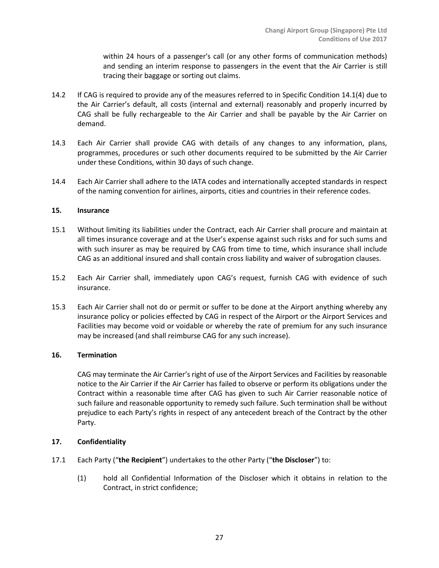within 24 hours of a passenger's call (or any other forms of communication methods) and sending an interim response to passengers in the event that the Air Carrier is still tracing their baggage or sorting out claims.

- 14.2 If CAG is required to provide any of the measures referred to in Specific Condition 14.1(4) due to the Air Carrier's default, all costs (internal and external) reasonably and properly incurred by CAG shall be fully rechargeable to the Air Carrier and shall be payable by the Air Carrier on demand.
- 14.3 Each Air Carrier shall provide CAG with details of any changes to any information, plans, programmes, procedures or such other documents required to be submitted by the Air Carrier under these Conditions, within 30 days of such change.
- 14.4 Each Air Carrier shall adhere to the IATA codes and internationally accepted standards in respect of the naming convention for airlines, airports, cities and countries in their reference codes.

#### **15. Insurance**

- 15.1 Without limiting its liabilities under the Contract, each Air Carrier shall procure and maintain at all times insurance coverage and at the User's expense against such risks and for such sums and with such insurer as may be required by CAG from time to time, which insurance shall include CAG as an additional insured and shall contain cross liability and waiver of subrogation clauses.
- 15.2 Each Air Carrier shall, immediately upon CAG's request, furnish CAG with evidence of such insurance.
- 15.3 Each Air Carrier shall not do or permit or suffer to be done at the Airport anything whereby any insurance policy or policies effected by CAG in respect of the Airport or the Airport Services and Facilities may become void or voidable or whereby the rate of premium for any such insurance may be increased (and shall reimburse CAG for any such increase).

# **16. Termination**

CAG may terminate the Air Carrier's right of use of the Airport Services and Facilities by reasonable notice to the Air Carrier if the Air Carrier has failed to observe or perform its obligations under the Contract within a reasonable time after CAG has given to such Air Carrier reasonable notice of such failure and reasonable opportunity to remedy such failure. Such termination shall be without prejudice to each Party's rights in respect of any antecedent breach of the Contract by the other Party.

# **17. Confidentiality**

- 17.1 Each Party ("**the Recipient**") undertakes to the other Party ("**the Discloser**") to:
	- (1) hold all Confidential Information of the Discloser which it obtains in relation to the Contract, in strict confidence;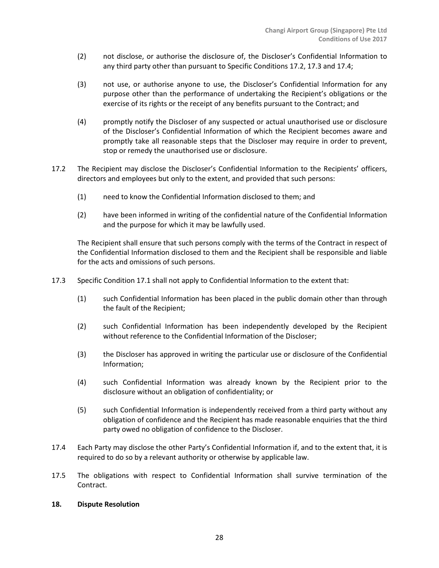- (2) not disclose, or authorise the disclosure of, the Discloser's Confidential Information to any third party other than pursuant to Specific Conditions 17.2, 17.3 and 17.4;
- (3) not use, or authorise anyone to use, the Discloser's Confidential Information for any purpose other than the performance of undertaking the Recipient's obligations or the exercise of its rights or the receipt of any benefits pursuant to the Contract; and
- (4) promptly notify the Discloser of any suspected or actual unauthorised use or disclosure of the Discloser's Confidential Information of which the Recipient becomes aware and promptly take all reasonable steps that the Discloser may require in order to prevent, stop or remedy the unauthorised use or disclosure.
- 17.2 The Recipient may disclose the Discloser's Confidential Information to the Recipients' officers, directors and employees but only to the extent, and provided that such persons:
	- (1) need to know the Confidential Information disclosed to them; and
	- (2) have been informed in writing of the confidential nature of the Confidential Information and the purpose for which it may be lawfully used.

The Recipient shall ensure that such persons comply with the terms of the Contract in respect of the Confidential Information disclosed to them and the Recipient shall be responsible and liable for the acts and omissions of such persons.

- 17.3 Specific Condition 17.1 shall not apply to Confidential Information to the extent that:
	- (1) such Confidential Information has been placed in the public domain other than through the fault of the Recipient;
	- (2) such Confidential Information has been independently developed by the Recipient without reference to the Confidential Information of the Discloser;
	- (3) the Discloser has approved in writing the particular use or disclosure of the Confidential Information;
	- (4) such Confidential Information was already known by the Recipient prior to the disclosure without an obligation of confidentiality; or
	- (5) such Confidential Information is independently received from a third party without any obligation of confidence and the Recipient has made reasonable enquiries that the third party owed no obligation of confidence to the Discloser.
- 17.4 Each Party may disclose the other Party's Confidential Information if, and to the extent that, it is required to do so by a relevant authority or otherwise by applicable law.
- 17.5 The obligations with respect to Confidential Information shall survive termination of the Contract.

## **18. Dispute Resolution**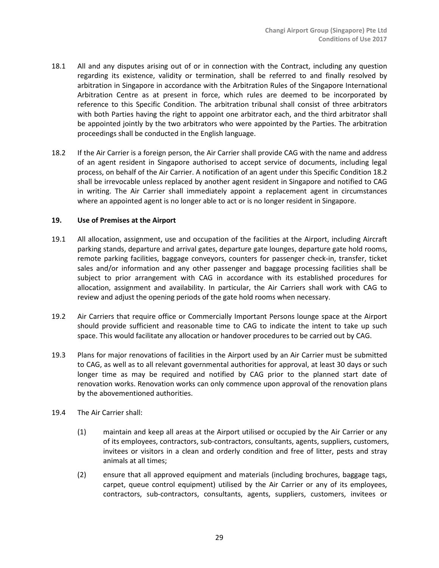- 18.1 All and any disputes arising out of or in connection with the Contract, including any question regarding its existence, validity or termination, shall be referred to and finally resolved by arbitration in Singapore in accordance with the Arbitration Rules of the Singapore International Arbitration Centre as at present in force, which rules are deemed to be incorporated by reference to this Specific Condition. The arbitration tribunal shall consist of three arbitrators with both Parties having the right to appoint one arbitrator each, and the third arbitrator shall be appointed jointly by the two arbitrators who were appointed by the Parties. The arbitration proceedings shall be conducted in the English language.
- 18.2 If the Air Carrier is a foreign person, the Air Carrier shall provide CAG with the name and address of an agent resident in Singapore authorised to accept service of documents, including legal process, on behalf of the Air Carrier. A notification of an agent under this Specific Condition 18.2 shall be irrevocable unless replaced by another agent resident in Singapore and notified to CAG in writing. The Air Carrier shall immediately appoint a replacement agent in circumstances where an appointed agent is no longer able to act or is no longer resident in Singapore.

#### **19. Use of Premises at the Airport**

- 19.1 All allocation, assignment, use and occupation of the facilities at the Airport, including Aircraft parking stands, departure and arrival gates, departure gate lounges, departure gate hold rooms, remote parking facilities, baggage conveyors, counters for passenger check-in, transfer, ticket sales and/or information and any other passenger and baggage processing facilities shall be subject to prior arrangement with CAG in accordance with its established procedures for allocation, assignment and availability. In particular, the Air Carriers shall work with CAG to review and adjust the opening periods of the gate hold rooms when necessary.
- 19.2 Air Carriers that require office or Commercially Important Persons lounge space at the Airport should provide sufficient and reasonable time to CAG to indicate the intent to take up such space. This would facilitate any allocation or handover procedures to be carried out by CAG.
- 19.3 Plans for major renovations of facilities in the Airport used by an Air Carrier must be submitted to CAG, as well as to all relevant governmental authorities for approval, at least 30 days or such longer time as may be required and notified by CAG prior to the planned start date of renovation works. Renovation works can only commence upon approval of the renovation plans by the abovementioned authorities.
- 19.4 The Air Carrier shall:
	- (1) maintain and keep all areas at the Airport utilised or occupied by the Air Carrier or any of its employees, contractors, sub-contractors, consultants, agents, suppliers, customers, invitees or visitors in a clean and orderly condition and free of litter, pests and stray animals at all times;
	- (2) ensure that all approved equipment and materials (including brochures, baggage tags, carpet, queue control equipment) utilised by the Air Carrier or any of its employees, contractors, sub-contractors, consultants, agents, suppliers, customers, invitees or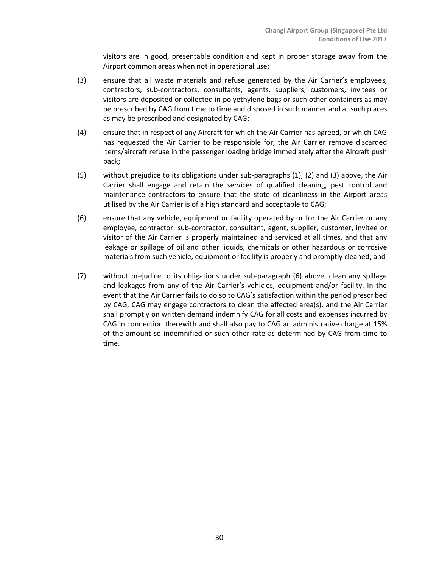visitors are in good, presentable condition and kept in proper storage away from the Airport common areas when not in operational use;

- (3) ensure that all waste materials and refuse generated by the Air Carrier's employees, contractors, sub-contractors, consultants, agents, suppliers, customers, invitees or visitors are deposited or collected in polyethylene bags or such other containers as may be prescribed by CAG from time to time and disposed in such manner and at such places as may be prescribed and designated by CAG;
- (4) ensure that in respect of any Aircraft for which the Air Carrier has agreed, or which CAG has requested the Air Carrier to be responsible for, the Air Carrier remove discarded items/aircraft refuse in the passenger loading bridge immediately after the Aircraft push back;
- (5) without prejudice to its obligations under sub-paragraphs (1), (2) and (3) above, the Air Carrier shall engage and retain the services of qualified cleaning, pest control and maintenance contractors to ensure that the state of cleanliness in the Airport areas utilised by the Air Carrier is of a high standard and acceptable to CAG;
- (6) ensure that any vehicle, equipment or facility operated by or for the Air Carrier or any employee, contractor, sub-contractor, consultant, agent, supplier, customer, invitee or visitor of the Air Carrier is properly maintained and serviced at all times, and that any leakage or spillage of oil and other liquids, chemicals or other hazardous or corrosive materials from such vehicle, equipment or facility is properly and promptly cleaned; and
- (7) without prejudice to its obligations under sub-paragraph (6) above, clean any spillage and leakages from any of the Air Carrier's vehicles, equipment and/or facility. In the event that the Air Carrier fails to do so to CAG's satisfaction within the period prescribed by CAG, CAG may engage contractors to clean the affected area(s), and the Air Carrier shall promptly on written demand indemnify CAG for all costs and expenses incurred by CAG in connection therewith and shall also pay to CAG an administrative charge at 15% of the amount so indemnified or such other rate as determined by CAG from time to time.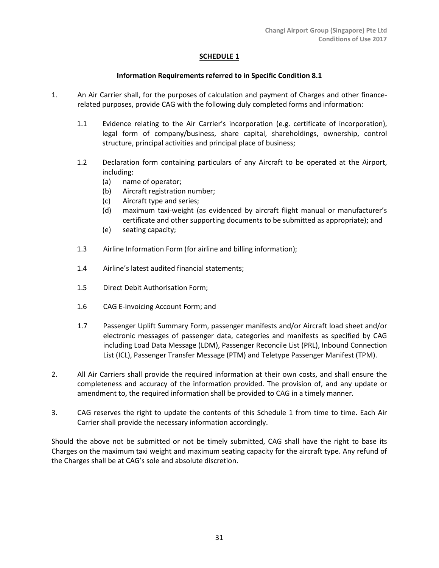## **SCHEDULE 1**

# **Information Requirements referred to in Specific Condition 8.1**

- 1. An Air Carrier shall, for the purposes of calculation and payment of Charges and other financerelated purposes, provide CAG with the following duly completed forms and information:
	- 1.1 Evidence relating to the Air Carrier's incorporation (e.g. certificate of incorporation), legal form of company/business, share capital, shareholdings, ownership, control structure, principal activities and principal place of business;
	- 1.2 Declaration form containing particulars of any Aircraft to be operated at the Airport, including:
		- (a) name of operator;
		- (b) Aircraft registration number;
		- (c) Aircraft type and series;
		- (d) maximum taxi-weight (as evidenced by aircraft flight manual or manufacturer's certificate and other supporting documents to be submitted as appropriate); and
		- (e) seating capacity;
	- 1.3 Airline Information Form (for airline and billing information);
	- 1.4 Airline's latest audited financial statements;
	- 1.5 Direct Debit Authorisation Form;
	- 1.6 CAG E-invoicing Account Form; and
	- 1.7 Passenger Uplift Summary Form, passenger manifests and/or Aircraft load sheet and/or electronic messages of passenger data, categories and manifests as specified by CAG including Load Data Message (LDM), Passenger Reconcile List (PRL), Inbound Connection List (ICL), Passenger Transfer Message (PTM) and Teletype Passenger Manifest (TPM).
- 2. All Air Carriers shall provide the required information at their own costs, and shall ensure the completeness and accuracy of the information provided. The provision of, and any update or amendment to, the required information shall be provided to CAG in a timely manner.
- 3. CAG reserves the right to update the contents of this Schedule 1 from time to time. Each Air Carrier shall provide the necessary information accordingly.

Should the above not be submitted or not be timely submitted, CAG shall have the right to base its Charges on the maximum taxi weight and maximum seating capacity for the aircraft type. Any refund of the Charges shall be at CAG's sole and absolute discretion.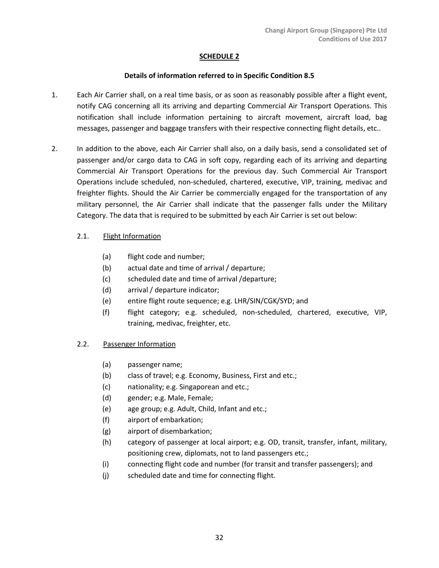# **SCHEDULE 2**

# **Details of information referred to in Specific Condition 8.5**

- 1. Each Air Carrier shall, on a real time basis, or as soon as reasonably possible after a flight event, notify CAG concerning all its arriving and departing Commercial Air Transport Operations. This notification shall include information pertaining to aircraft movement, aircraft load, bag messages, passenger and baggage transfers with their respective connecting flight details, etc..
- 2. In addition to the above, each Air Carrier shall also, on a daily basis, send a consolidated set of passenger and/or cargo data to CAG in soft copy, regarding each of its arriving and departing Commercial Air Transport Operations for the previous day. Such Commercial Air Transport Operations include scheduled, non-scheduled, chartered, executive, VIP, training, medivac and freighter flights. Should the Air Carrier be commercially engaged for the transportation of any military personnel, the Air Carrier shall indicate that the passenger falls under the Military Category. The data that is required to be submitted by each Air Carrier is set out below:

# 2.1. Flight Information

- (a) flight code and number;
- (b) actual date and time of arrival / departure;
- (c) scheduled date and time of arrival /departure;
- (d) arrival / departure indicator;
- (e) entire flight route sequence; e.g. LHR/SIN/CGK/SYD; and
- (f) flight category; e.g. scheduled, non-scheduled, chartered, executive, VIP, training, medivac, freighter, etc.

# 2.2. Passenger Information

- (a) passenger name;
- (b) class of travel; e.g. Economy, Business, First and etc.;
- (c) nationality; e.g. Singaporean and etc.;
- (d) gender; e.g. Male, Female;
- (e) age group; e.g. Adult, Child, Infant and etc.;
- (f) airport of embarkation;
- (g) airport of disembarkation;
- (h) category of passenger at local airport; e.g. OD, transit, transfer, infant, military, positioning crew, diplomats, not to land passengers etc.;
- (i) connecting flight code and number (for transit and transfer passengers); and
- (j) scheduled date and time for connecting flight.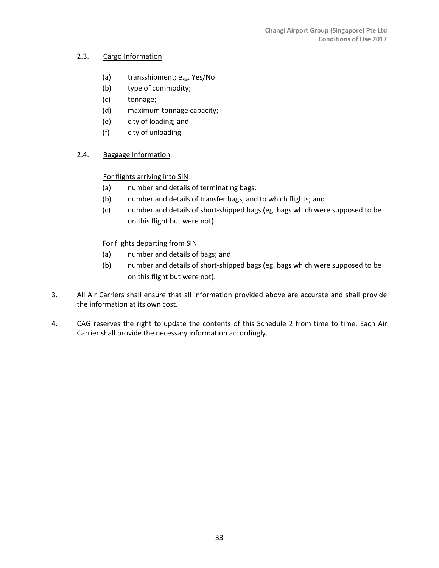# 2.3. Cargo Information

- (a) transshipment; e.g. Yes/No
- (b) type of commodity;
- (c) tonnage;
- (d) maximum tonnage capacity;
- (e) city of loading; and
- (f) city of unloading.

# 2.4. Baggage Information

# For flights arriving into SIN

- (a) number and details of terminating bags;
- (b) number and details of transfer bags, and to which flights; and
- (c) number and details of short-shipped bags (eg. bags which were supposed to be on this flight but were not).

# For flights departing from SIN

- (a) number and details of bags; and
- (b) number and details of short-shipped bags (eg. bags which were supposed to be on this flight but were not).
- 3. All Air Carriers shall ensure that all information provided above are accurate and shall provide the information at its own cost.
- 4. CAG reserves the right to update the contents of this Schedule 2 from time to time. Each Air Carrier shall provide the necessary information accordingly.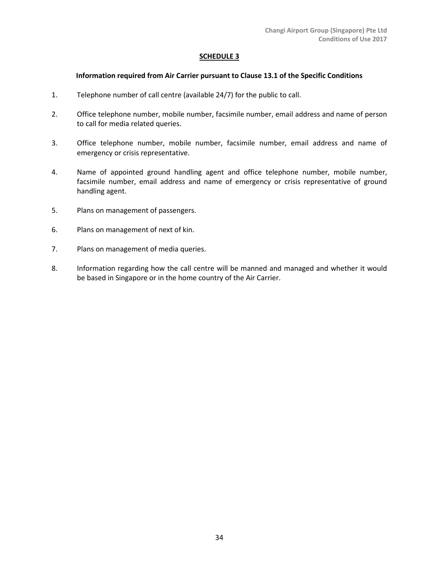#### **SCHEDULE 3**

#### **Information required from Air Carrier pursuant to Clause 13.1 of the Specific Conditions**

- 1. Telephone number of call centre (available 24/7) for the public to call.
- 2. Office telephone number, mobile number, facsimile number, email address and name of person to call for media related queries.
- 3. Office telephone number, mobile number, facsimile number, email address and name of emergency or crisis representative.
- 4. Name of appointed ground handling agent and office telephone number, mobile number, facsimile number, email address and name of emergency or crisis representative of ground handling agent.
- 5. Plans on management of passengers.
- 6. Plans on management of next of kin.
- 7. Plans on management of media queries.
- 8. Information regarding how the call centre will be manned and managed and whether it would be based in Singapore or in the home country of the Air Carrier.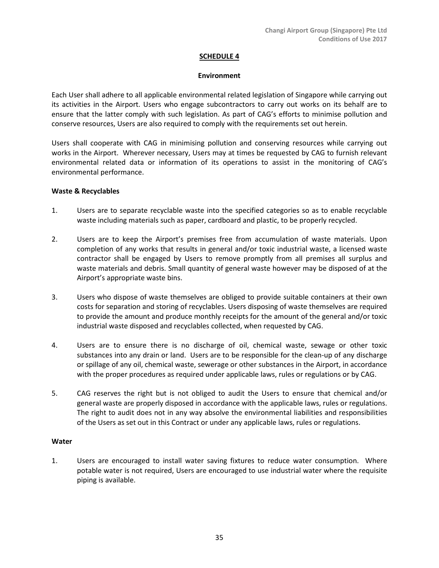## **SCHEDULE 4**

#### **Environment**

Each User shall adhere to all applicable environmental related legislation of Singapore while carrying out its activities in the Airport. Users who engage subcontractors to carry out works on its behalf are to ensure that the latter comply with such legislation. As part of CAG's efforts to minimise pollution and conserve resources, Users are also required to comply with the requirements set out herein.

Users shall cooperate with CAG in minimising pollution and conserving resources while carrying out works in the Airport. Wherever necessary, Users may at times be requested by CAG to furnish relevant environmental related data or information of its operations to assist in the monitoring of CAG's environmental performance.

# **Waste & Recyclables**

- 1. Users are to separate recyclable waste into the specified categories so as to enable recyclable waste including materials such as paper, cardboard and plastic, to be properly recycled.
- 2. Users are to keep the Airport's premises free from accumulation of waste materials. Upon completion of any works that results in general and/or toxic industrial waste, a licensed waste contractor shall be engaged by Users to remove promptly from all premises all surplus and waste materials and debris. Small quantity of general waste however may be disposed of at the Airport's appropriate waste bins.
- 3. Users who dispose of waste themselves are obliged to provide suitable containers at their own costs for separation and storing of recyclables. Users disposing of waste themselves are required to provide the amount and produce monthly receipts for the amount of the general and/or toxic industrial waste disposed and recyclables collected, when requested by CAG.
- 4. Users are to ensure there is no discharge of oil, chemical waste, sewage or other toxic substances into any drain or land. Users are to be responsible for the clean-up of any discharge or spillage of any oil, chemical waste, sewerage or other substances in the Airport, in accordance with the proper procedures as required under applicable laws, rules or regulations or by CAG.
- 5. CAG reserves the right but is not obliged to audit the Users to ensure that chemical and/or general waste are properly disposed in accordance with the applicable laws, rules or regulations. The right to audit does not in any way absolve the environmental liabilities and responsibilities of the Users as set out in this Contract or under any applicable laws, rules or regulations.

## **Water**

1. Users are encouraged to install water saving fixtures to reduce water consumption. Where potable water is not required, Users are encouraged to use industrial water where the requisite piping is available.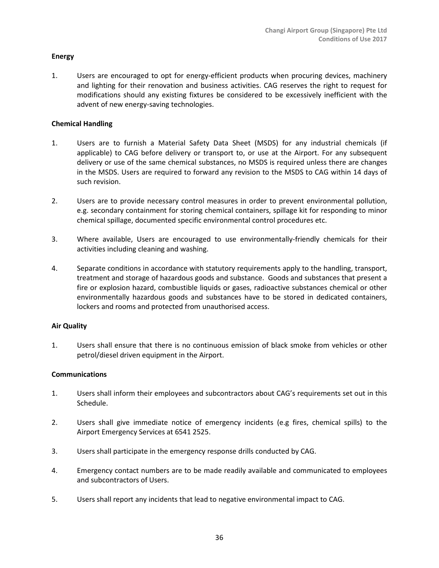#### **Energy**

1. Users are encouraged to opt for energy-efficient products when procuring devices, machinery and lighting for their renovation and business activities. CAG reserves the right to request for modifications should any existing fixtures be considered to be excessively inefficient with the advent of new energy-saving technologies.

#### **Chemical Handling**

- 1. Users are to furnish a Material Safety Data Sheet (MSDS) for any industrial chemicals (if applicable) to CAG before delivery or transport to, or use at the Airport. For any subsequent delivery or use of the same chemical substances, no MSDS is required unless there are changes in the MSDS. Users are required to forward any revision to the MSDS to CAG within 14 days of such revision.
- 2. Users are to provide necessary control measures in order to prevent environmental pollution, e.g. secondary containment for storing chemical containers, spillage kit for responding to minor chemical spillage, documented specific environmental control procedures etc.
- 3. Where available, Users are encouraged to use environmentally-friendly chemicals for their activities including cleaning and washing.
- 4. Separate conditions in accordance with statutory requirements apply to the handling, transport, treatment and storage of hazardous goods and substance. Goods and substances that present a fire or explosion hazard, combustible liquids or gases, radioactive substances chemical or other environmentally hazardous goods and substances have to be stored in dedicated containers, lockers and rooms and protected from unauthorised access.

#### **Air Quality**

1. Users shall ensure that there is no continuous emission of black smoke from vehicles or other petrol/diesel driven equipment in the Airport.

#### **Communications**

- 1. Users shall inform their employees and subcontractors about CAG's requirements set out in this Schedule.
- 2. Users shall give immediate notice of emergency incidents (e.g fires, chemical spills) to the Airport Emergency Services at 6541 2525.
- 3. Users shall participate in the emergency response drills conducted by CAG.
- 4. Emergency contact numbers are to be made readily available and communicated to employees and subcontractors of Users.
- 5. Users shall report any incidents that lead to negative environmental impact to CAG.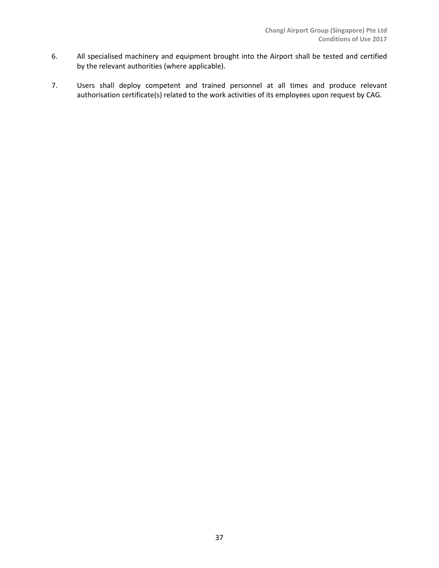- 6. All specialised machinery and equipment brought into the Airport shall be tested and certified by the relevant authorities (where applicable).
- 7. Users shall deploy competent and trained personnel at all times and produce relevant authorisation certificate(s) related to the work activities of its employees upon request by CAG.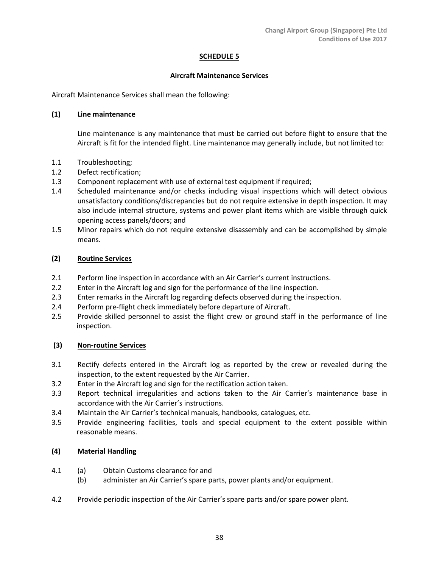# **SCHEDULE 5**

## **Aircraft Maintenance Services**

Aircraft Maintenance Services shall mean the following:

# **(1) Line maintenance**

Line maintenance is any maintenance that must be carried out before flight to ensure that the Aircraft is fit for the intended flight. Line maintenance may generally include, but not limited to:

- 1.1 Troubleshooting;
- 1.2 Defect rectification;
- 1.3 Component replacement with use of external test equipment if required;
- 1.4 Scheduled maintenance and/or checks including visual inspections which will detect obvious unsatisfactory conditions/discrepancies but do not require extensive in depth inspection. It may also include internal structure, systems and power plant items which are visible through quick opening access panels/doors; and
- 1.5 Minor repairs which do not require extensive disassembly and can be accomplished by simple means.

# **(2) Routine Services**

- 2.1 Perform line inspection in accordance with an Air Carrier's current instructions.
- 2.2 Enter in the Aircraft log and sign for the performance of the line inspection.
- 2.3 Enter remarks in the Aircraft log regarding defects observed during the inspection.
- 2.4 Perform pre-flight check immediately before departure of Aircraft.
- 2.5 Provide skilled personnel to assist the flight crew or ground staff in the performance of line inspection.

## **(3) Non-routine Services**

- 3.1 Rectify defects entered in the Aircraft log as reported by the crew or revealed during the inspection, to the extent requested by the Air Carrier.
- 3.2 Enter in the Aircraft log and sign for the rectification action taken.
- 3.3 Report technical irregularities and actions taken to the Air Carrier's maintenance base in accordance with the Air Carrier's instructions.
- 3.4 Maintain the Air Carrier's technical manuals, handbooks, catalogues, etc.
- 3.5 Provide engineering facilities, tools and special equipment to the extent possible within reasonable means.

# **(4) Material Handling**

- 4.1 (a) Obtain Customs clearance for and
	- (b) administer an Air Carrier's spare parts, power plants and/or equipment.
- 4.2 Provide periodic inspection of the Air Carrier's spare parts and/or spare power plant.